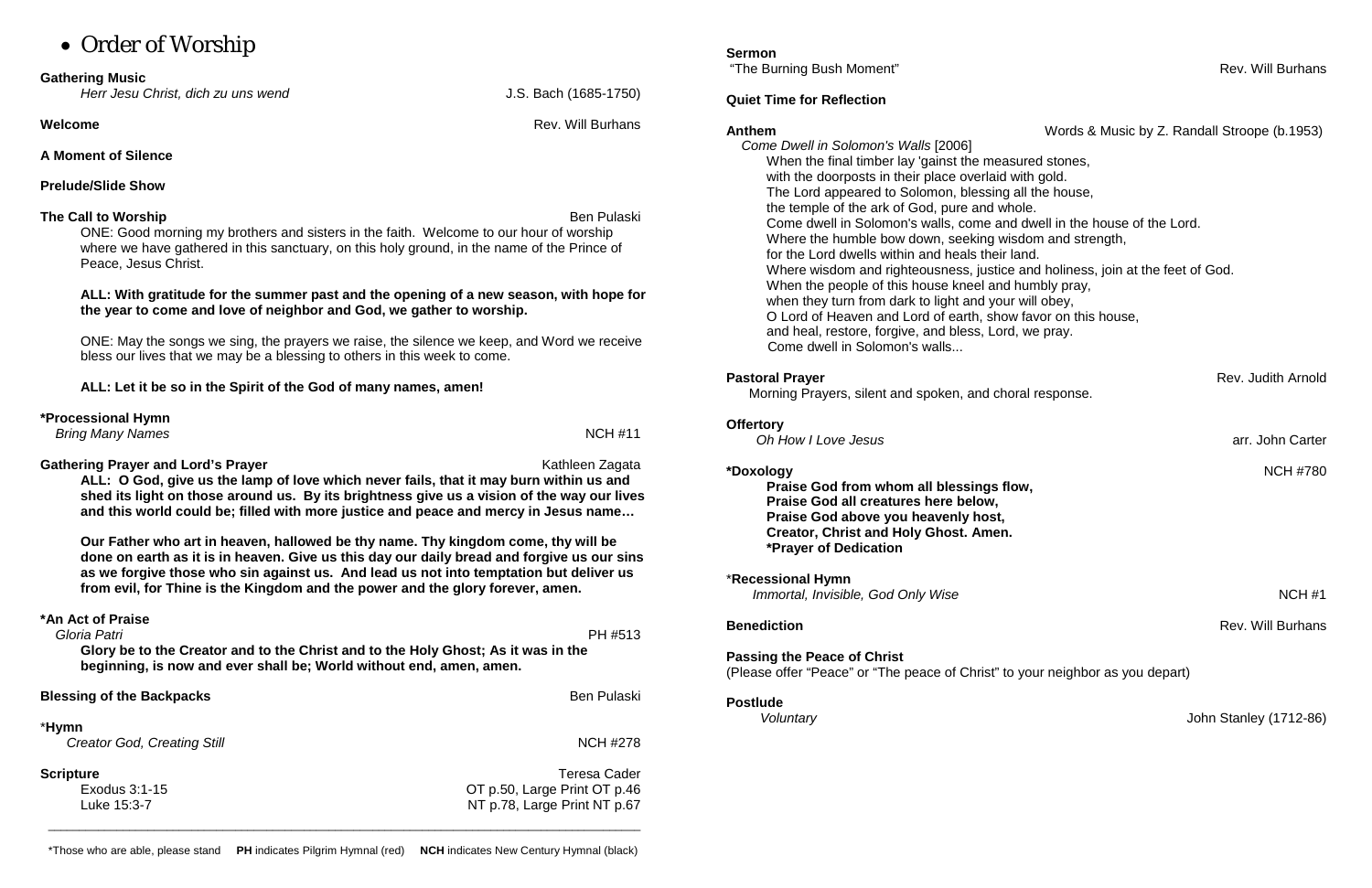# • Order of Worship

#### **Gathering Music**

*Herr Jesu Christ, dich zu uns wend* J.S. Bach (1685-1750)

**Welcome Rev.** Will Burhans

**A Moment of Silence**

## **Prelude/Slide Show**

## **The Call to Worship** Ben Pulaski **Ben Pulaski** Ben Pulaski Ben Pulaski Ben Pulaski Ben Pulaski Ben Pulaski Ben Pulaski

ONE: Good morning my brothers and sisters in the faith. Welcome to our hour of worship where we have gathered in this sanctuary, on this holy ground, in the name of the Prince of Peace, Jesus Christ.

#### **ALL: With gratitude for the summer past and the opening of a new season, with hope for the year to come and love of neighbor and God, we gather to worship.**

**Gathering Prayer and Lord's Prayer** Mathleen Zagata Kathleen Zagata **ALL: O God, give us the lamp of love which never fails, that it may burn within us and shed its light on those around us. By its brightness give us a vision of the way our lives and this world could be; filled with more justice and peace and mercy in Jesus name…** 

ONE: May the songs we sing, the prayers we raise, the silence we keep, and Word we receive bless our lives that we may be a blessing to others in this week to come.

**ALL: Let it be so in the Spirit of the God of many names, amen!**

| *Processional Hymn<br><b>Bring Many Names</b> | <b>NCH #11</b> |
|-----------------------------------------------|----------------|
|                                               |                |

**Our Father who art in heaven, hallowed be thy name. Thy kingdom come, thy will be done on earth as it is in heaven. Give us this day our daily bread and forgive us our sins as we forgive those who sin against us. And lead us not into temptation but deliver us from evil, for Thine is the Kingdom and the power and the glory forever, amen.**

### **\*An Act of Praise**

\***Recessional Hymn** *Immortal, Invisible, God Only Wise*  $\blacksquare$ 

 *Gloria Patri* PH #513 **Glory be to the Creator and to the Christ and to the Holy Ghost; As it was in the beginning, is now and ever shall be; World without end, amen, amen.**

**Blessing of the Backpacks** Ben Pulaski

#### \***Hymn**

**Creator God, Creating Still** NCH #278

**Scripture** Teresa Cader Exodus 3:1-15 OT p.50, Large Print OT p.46 Luke 15:3-7 NT p.78, Large Print NT p.67

# **Sermon**

"The Burning Bush Moment" **Rev. Will Burnans** Communication Communication Communication Communication Communication

## **Quiet Time for Reflection**

**Anthem** Words & Music by Z. Randall Stroope (b.1953)

**Pastoral Prayer** Rev. Judith Arnold **Pastoral Prayer** 

**Benediction** Rev. Will Burhans

 *Come Dwell in Solomon's Walls* [2006] When the final timber lay 'gainst the measured stones, with the doorposts in their place overlaid with gold. The Lord appeared to Solomon, blessing all the house, the temple of the ark of God, pure and whole. Come dwell in Solomon's walls, come and dwell in the house of the Lord. Where the humble bow down, seeking wisdom and strength, for the Lord dwells within and heals their land. Where wisdom and righteousness, justice and holiness, join at the feet of God. When the people of this house kneel and humbly pray, when they turn from dark to light and your will obey, O Lord of Heaven and Lord of earth, show favor on this house, and heal, restore, forgive, and bless, Lord, we pray. Come dwell in Solomon's walls...

Morning Prayers, silent and spoken, and choral response.

## **Offertory**

*Oh How I Love Jesus* arr. John Carter

# **\*Doxology** NCH #780

**Praise God from whom all blessings flow, Praise God all creatures here below, Praise God above you heavenly host, Creator, Christ and Holy Ghost. Amen. \*Prayer of Dedication**

**Passing the Peace of Christ** (Please offer "Peace" or "The peace of Christ" to your neighbor as you depart)

### **Postlude**

*Voluntary* John Stanley (1712-86)

\_\_\_\_\_\_\_\_\_\_\_\_\_\_\_\_\_\_\_\_\_\_\_\_\_\_\_\_\_\_\_\_\_\_\_\_\_\_\_\_\_\_\_\_\_\_\_\_\_\_\_\_\_\_\_\_\_\_\_\_\_\_\_\_\_\_\_\_\_\_\_\_\_\_\_\_\_\_\_\_\_\_\_\_\_\_\_\_\_\_\_\_\_\_\_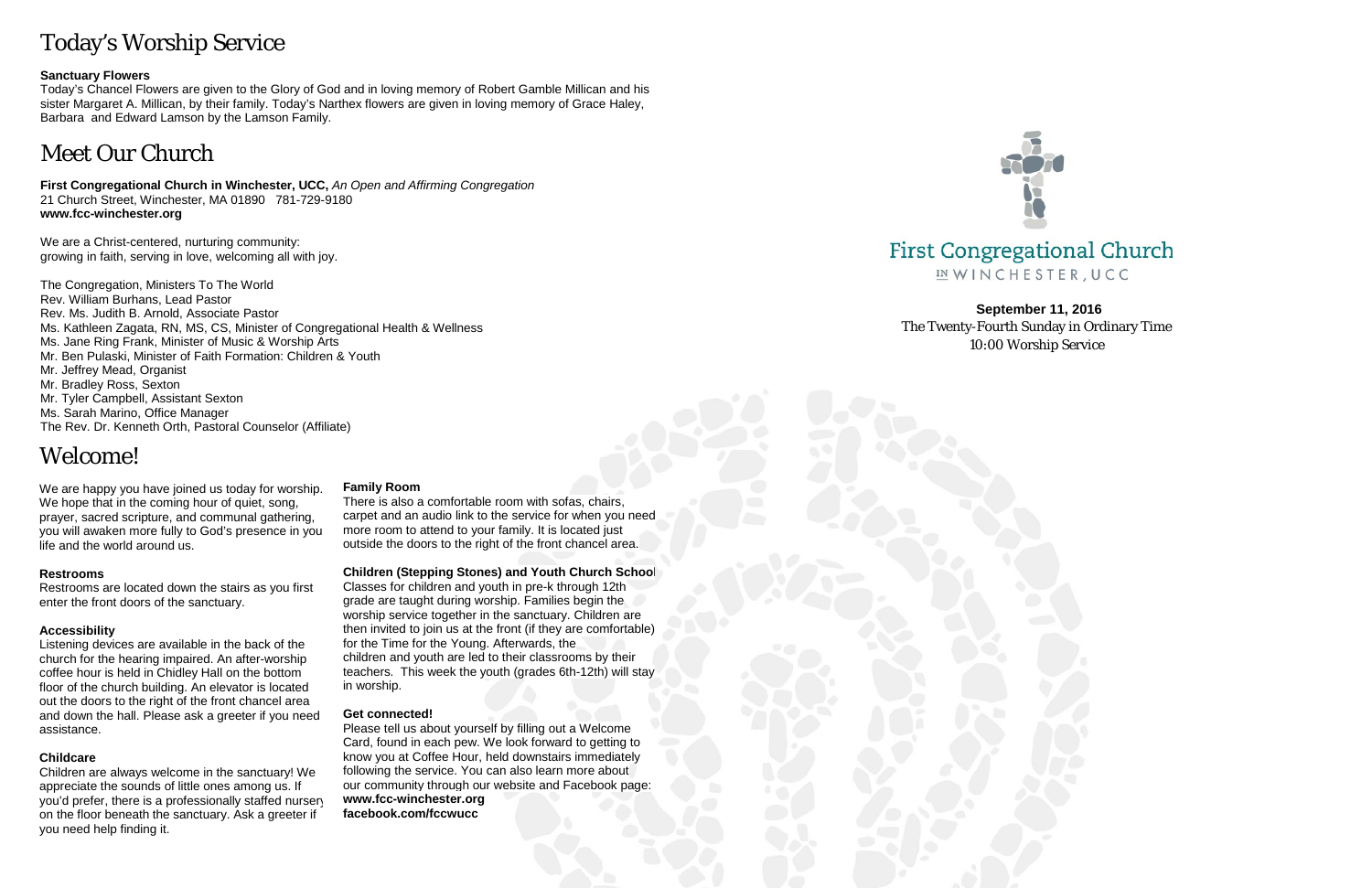# Today's Worship Service

#### **Sanctuary Flowers**

Today's Chancel Flowers are given to the Glory of God and in loving memory of Robert Gamble Millican and his sister Margaret A. Millican, by their family. Today's Narthex flowers are given in loving memory of Grace Haley, Barbara and Edward Lamson by the Lamson Family.

# Meet Our Church

**First Congregational Church in Winchester, UCC,** *An Open and Affirming Congregation* 21 Church Street, Winchester, MA 01890 781-729-9180 **www.fcc-winchester.org**

We are a Christ-centered, nurturing community: growing in faith, serving in love, welcoming all with joy.

The Congregation, Ministers To The World Rev. William Burhans, Lead Pastor Rev. Ms. Judith B. Arnold, Associate Pastor Ms. Kathleen Zagata, RN, MS, CS, Minister of Congregational Health & Wellness Ms. Jane Ring Frank, Minister of Music & Worship Arts Mr. Ben Pulaski, Minister of Faith Formation: Children & Youth Mr. Jeffrey Mead, Organist Mr. Bradley Ross, Sexton Mr. Tyler Campbell, Assistant Sexton Ms. Sarah Marino, Office Manager The Rev. Dr. Kenneth Orth, Pastoral Counselor (Affiliate)

# Welcome!

We are happy you have joined us today for worship. We hope that in the coming hour of quiet, song, prayer, sacred scripture, and communal gathering, you will awaken more fully to God's presence in you life and the world around us.

#### **Restrooms**

Restrooms are located down the stairs as you first enter the front doors of the sanctuary.

#### **Accessibility**

Listening devices are available in the back of the church for the hearing impaired. An after-worship coffee hour is held in Chidley Hall on the bottom floor of the church building. An elevator is located out the doors to the right of the front chancel area and down the hall. Please ask a greeter if you need assistance.

#### **Childcare**

Children are always welcome in the sanctuary! We appreciate the sounds of little ones among us. If you'd prefer, there is a professionally staffed nursery on the floor beneath the sanctuary. Ask a greeter if you need help finding it.

#### **Family Room**

There is also a comfortable room with sofas, chairs, carpet and an audio link to the service for when you need more room to attend to your family. It is located just outside the doors to the right of the front chancel area.

#### **Children (Stepping Stones) and Youth Church School**

Classes for children and youth in pre-k through 12th grade are taught during worship. Families begin the worship service together in the sanctuary. Children are then invited to join us at the front (if they are comfortable) for the Time for the Young. Afterwards, the children and youth are led to their classrooms by their teachers. This week the youth (grades 6th-12th) will stay in worship.

#### **Get connected!**

Please tell us about yourself by filling out a Welcome Card, found in each pew. We look forward to getting to know you at Coffee Hour, held downstairs immediately following the service. You can also learn more about our community through our website and Facebook page: **www.fcc-winchester.org facebook.com/fccwucc**



# **First Congregational Church** IN WINCHESTER, UCC

**September 11, 2016** The Twenty-Fourth Sunday in Ordinary Time 10:00 Worship Service